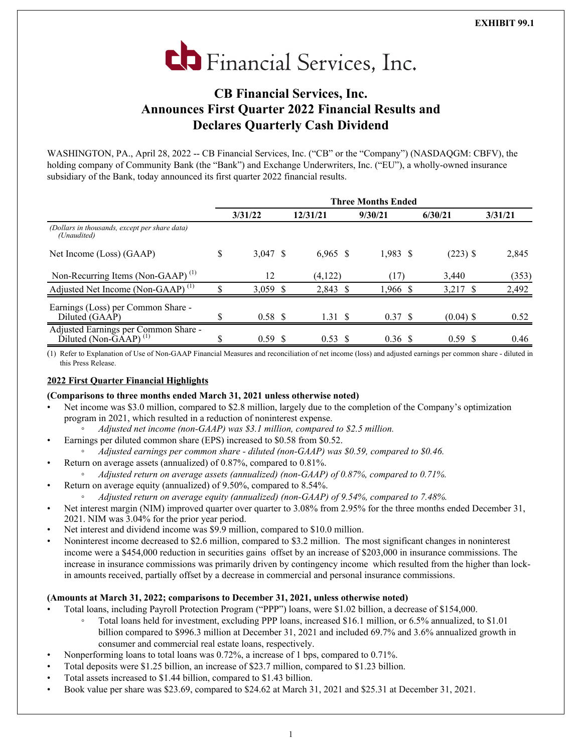

# **CB Financial Services, Inc. Announces First Quarter 2022 Financial Results and Declares Quarterly Cash Dividend**

WASHINGTON, PA., April 28, 2022 -- CB Financial Services, Inc. ("CB" or the "Company") (NASDAOGM: CBFV), the holding company of Community Bank (the "Bank") and Exchange Underwriters, Inc. ("EU"), a wholly-owned insurance subsidiary of the Bank, today announced its first quarter 2022 financial results.

|                                                                                                | <b>Three Months Ended</b> |            |  |                    |            |             |         |  |  |  |  |
|------------------------------------------------------------------------------------------------|---------------------------|------------|--|--------------------|------------|-------------|---------|--|--|--|--|
|                                                                                                |                           | 3/31/22    |  | 12/31/21           | 9/30/21    | 6/30/21     | 3/31/21 |  |  |  |  |
| (Dollars in thousands, except per share data)<br>(Unaudited)                                   |                           |            |  |                    |            |             |         |  |  |  |  |
| Net Income (Loss) (GAAP)                                                                       | \$                        | $3,047$ \$ |  | $6,965$ \$         | $1,983$ \$ | $(223)$ \$  | 2,845   |  |  |  |  |
| Non-Recurring Items (Non-GAAP) <sup>(1)</sup>                                                  |                           | 12         |  | (4,122)            | (17)       | 3,440       | (353)   |  |  |  |  |
| Adjusted Net Income (Non-GAAP) <sup>(1)</sup>                                                  | ¢                         | $3.059$ \$ |  | 2,843 \$           | 1,966 \$   | 3,217 \$    | 2,492   |  |  |  |  |
| Earnings (Loss) per Common Share -<br>Diluted (GAAP)                                           |                           | 0.58 S     |  | 1.31S              | 0.37 S     | $(0.04)$ \$ | 0.52    |  |  |  |  |
| Adjusted Earnings per Common Share -<br>Diluted (Non- $\overrightarrow{G}$ AAP) <sup>(1)</sup> |                           | 0.59 S     |  | $0.53 \text{ }$ \$ | 0.36 S     | $0.59$ \$   | 0.46    |  |  |  |  |

(1) Refer to Explanation of Use of Non-GAAP Financial Measures and reconciliation of net income (loss) and adjusted earnings per common share - diluted in this Press Release.

# **2022 First Quarter Financial Highlights**

### **(Comparisons to three months ended March 31, 2021 unless otherwise noted)**

- Net income was \$3.0 million, compared to \$2.8 million, largely due to the completion of the Company's optimization program in 2021, which resulted in a reduction of noninterest expense.
	- *◦ Adjusted net income (non-GAAP) was \$3.1 million, compared to \$2.5 million.*
- Earnings per diluted common share (EPS) increased to \$0.58 from \$0.52.
- *◦ Adjusted earnings per common share diluted (non-GAAP) was \$0.59, compared to \$0.46.*
- Return on average assets (annualized) of 0.87%, compared to 0.81%.
	- *◦ Adjusted return on average assets (annualized) (non-GAAP) of 0.87%, compared to 0.71%.*
	- Return on average equity (annualized) of 9.50%, compared to 8.54%.
	- *◦ Adjusted return on average equity (annualized) (non-GAAP) of 9.54%, compared to 7.48%.*
- Net interest margin (NIM) improved quarter over quarter to 3.08% from 2.95% for the three months ended December 31, 2021. NIM was 3.04% for the prior year period.
- Net interest and dividend income was \$9.9 million, compared to \$10.0 million.
- Noninterest income decreased to \$2.6 million, compared to \$3.2 million. The most significant changes in noninterest income were a \$454,000 reduction in securities gains offset by an increase of \$203,000 in insurance commissions. The increase in insurance commissions was primarily driven by contingency income which resulted from the higher than lockin amounts received, partially offset by a decrease in commercial and personal insurance commissions.

# **(Amounts at March 31, 2022; comparisons to December 31, 2021, unless otherwise noted)**

- Total loans, including Payroll Protection Program ("PPP") loans, were \$1.02 billion, a decrease of \$154,000.
	- Total loans held for investment, excluding PPP loans, increased \$16.1 million, or 6.5% annualized, to \$1.01 billion compared to \$996.3 million at December 31, 2021 and included 69.7% and 3.6% annualized growth in consumer and commercial real estate loans, respectively.
- Nonperforming loans to total loans was 0.72%, a increase of 1 bps, compared to 0.71%.
- Total deposits were \$1.25 billion, an increase of \$23.7 million, compared to \$1.23 billion.
- Total assets increased to \$1.44 billion, compared to \$1.43 billion.
- Book value per share was \$23.69, compared to \$24.62 at March 31, 2021 and \$25.31 at December 31, 2021.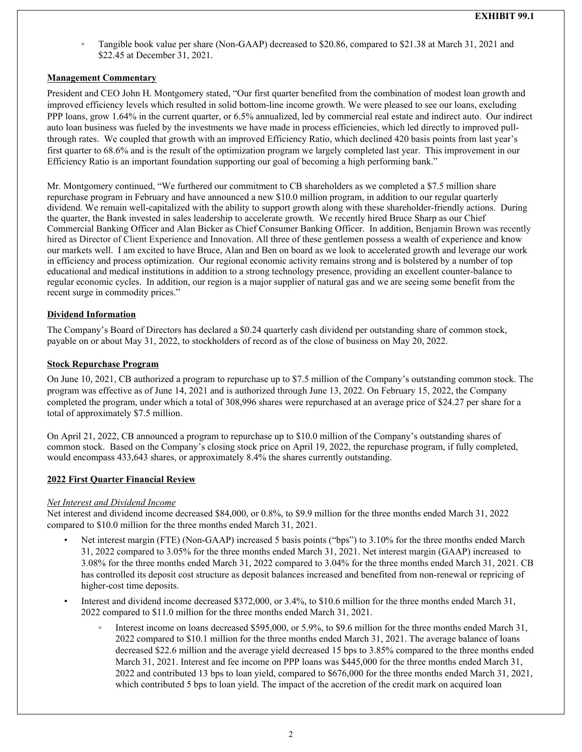Tangible book value per share (Non-GAAP) decreased to \$20.86, compared to \$21.38 at March 31, 2021 and \$22.45 at December 31, 2021.

# **Management Commentary**

President and CEO John H. Montgomery stated, "Our first quarter benefited from the combination of modest loan growth and improved efficiency levels which resulted in solid bottom-line income growth. We were pleased to see our loans, excluding PPP loans, grow 1.64% in the current quarter, or 6.5% annualized, led by commercial real estate and indirect auto. Our indirect auto loan business was fueled by the investments we have made in process efficiencies, which led directly to improved pullthrough rates. We coupled that growth with an improved Efficiency Ratio, which declined 420 basis points from last year's first quarter to 68.6% and is the result of the optimization program we largely completed last year. This improvement in our Efficiency Ratio is an important foundation supporting our goal of becoming a high performing bank."

Mr. Montgomery continued, "We furthered our commitment to CB shareholders as we completed a \$7.5 million share repurchase program in February and have announced a new \$10.0 million program, in addition to our regular quarterly dividend. We remain well-capitalized with the ability to support growth along with these shareholder-friendly actions. During the quarter, the Bank invested in sales leadership to accelerate growth. We recently hired Bruce Sharp as our Chief Commercial Banking Officer and Alan Bicker as Chief Consumer Banking Officer. In addition, Benjamin Brown was recently hired as Director of Client Experience and Innovation. All three of these gentlemen possess a wealth of experience and know our markets well. I am excited to have Bruce, Alan and Ben on board as we look to accelerated growth and leverage our work in efficiency and process optimization. Our regional economic activity remains strong and is bolstered by a number of top educational and medical institutions in addition to a strong technology presence, providing an excellent counter-balance to regular economic cycles. In addition, our region is a major supplier of natural gas and we are seeing some benefit from the recent surge in commodity prices."

# **Dividend Information**

The Company's Board of Directors has declared a \$0.24 quarterly cash dividend per outstanding share of common stock, payable on or about May 31, 2022, to stockholders of record as of the close of business on May 20, 2022.

# **Stock Repurchase Program**

On June 10, 2021, CB authorized a program to repurchase up to \$7.5 million of the Company's outstanding common stock. The program was effective as of June 14, 2021 and is authorized through June 13, 2022. On February 15, 2022, the Company completed the program, under which a total of 308,996 shares were repurchased at an average price of \$24.27 per share for a total of approximately \$7.5 million.

On April 21, 2022, CB announced a program to repurchase up to \$10.0 million of the Company's outstanding shares of common stock. Based on the Company's closing stock price on April 19, 2022, the repurchase program, if fully completed, would encompass 433,643 shares, or approximately 8.4% the shares currently outstanding.

### **2022 First Quarter Financial Review**

### *Net Interest and Dividend Income*

Net interest and dividend income decreased \$84,000, or 0.8%, to \$9.9 million for the three months ended March 31, 2022 compared to \$10.0 million for the three months ended March 31, 2021.

- Net interest margin (FTE) (Non-GAAP) increased 5 basis points ("bps") to 3.10% for the three months ended March 31, 2022 compared to 3.05% for the three months ended March 31, 2021. Net interest margin (GAAP) increased to 3.08% for the three months ended March 31, 2022 compared to 3.04% for the three months ended March 31, 2021. CB has controlled its deposit cost structure as deposit balances increased and benefited from non-renewal or repricing of higher-cost time deposits.
- Interest and dividend income decreased \$372,000, or 3.4%, to \$10.6 million for the three months ended March 31, 2022 compared to \$11.0 million for the three months ended March 31, 2021.
	- Interest income on loans decreased \$595,000, or 5.9%, to \$9.6 million for the three months ended March 31, 2022 compared to \$10.1 million for the three months ended March 31, 2021. The average balance of loans decreased \$22.6 million and the average yield decreased 15 bps to 3.85% compared to the three months ended March 31, 2021. Interest and fee income on PPP loans was \$445,000 for the three months ended March 31, 2022 and contributed 13 bps to loan yield, compared to \$676,000 for the three months ended March 31, 2021, which contributed 5 bps to loan yield. The impact of the accretion of the credit mark on acquired loan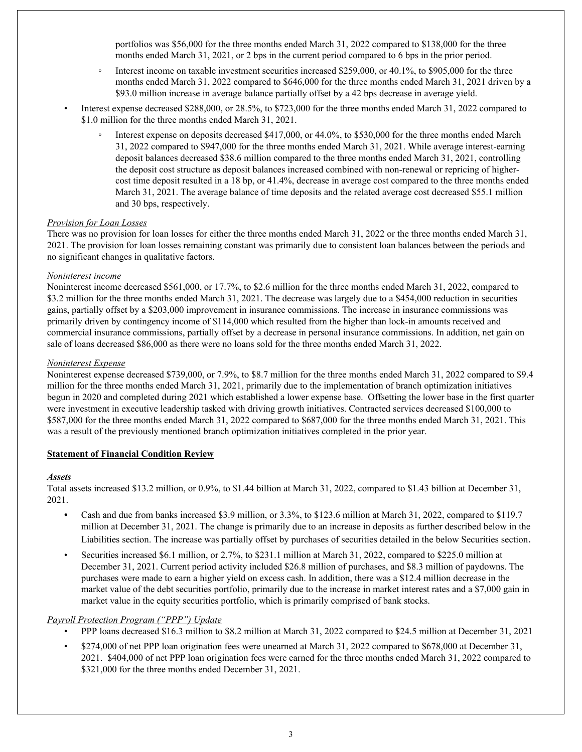portfolios was \$56,000 for the three months ended March 31, 2022 compared to \$138,000 for the three months ended March 31, 2021, or 2 bps in the current period compared to 6 bps in the prior period.

- Interest income on taxable investment securities increased \$259,000, or 40.1%, to \$905,000 for the three months ended March 31, 2022 compared to \$646,000 for the three months ended March 31, 2021 driven by a \$93.0 million increase in average balance partially offset by a 42 bps decrease in average yield.
- Interest expense decreased \$288,000, or 28.5%, to \$723,000 for the three months ended March 31, 2022 compared to \$1.0 million for the three months ended March 31, 2021.
	- Interest expense on deposits decreased \$417,000, or 44.0%, to \$530,000 for the three months ended March 31, 2022 compared to \$947,000 for the three months ended March 31, 2021. While average interest-earning deposit balances decreased \$38.6 million compared to the three months ended March 31, 2021, controlling the deposit cost structure as deposit balances increased combined with non-renewal or repricing of highercost time deposit resulted in a 18 bp, or 41.4%, decrease in average cost compared to the three months ended March 31, 2021. The average balance of time deposits and the related average cost decreased \$55.1 million and 30 bps, respectively.

#### *Provision for Loan Losses*

There was no provision for loan losses for either the three months ended March 31, 2022 or the three months ended March 31, 2021. The provision for loan losses remaining constant was primarily due to consistent loan balances between the periods and no significant changes in qualitative factors.

#### *Noninterest income*

Noninterest income decreased \$561,000, or 17.7%, to \$2.6 million for the three months ended March 31, 2022, compared to \$3.2 million for the three months ended March 31, 2021. The decrease was largely due to a \$454,000 reduction in securities gains, partially offset by a \$203,000 improvement in insurance commissions. The increase in insurance commissions was primarily driven by contingency income of \$114,000 which resulted from the higher than lock-in amounts received and commercial insurance commissions, partially offset by a decrease in personal insurance commissions. In addition, net gain on sale of loans decreased \$86,000 as there were no loans sold for the three months ended March 31, 2022.

#### *Noninterest Expense*

Noninterest expense decreased \$739,000, or 7.9%, to \$8.7 million for the three months ended March 31, 2022 compared to \$9.4 million for the three months ended March 31, 2021, primarily due to the implementation of branch optimization initiatives begun in 2020 and completed during 2021 which established a lower expense base. Offsetting the lower base in the first quarter were investment in executive leadership tasked with driving growth initiatives. Contracted services decreased \$100,000 to \$587,000 for the three months ended March 31, 2022 compared to \$687,000 for the three months ended March 31, 2021. This was a result of the previously mentioned branch optimization initiatives completed in the prior year.

### **Statement of Financial Condition Review**

#### *Assets*

Total assets increased \$13.2 million, or 0.9%, to \$1.44 billion at March 31, 2022, compared to \$1.43 billion at December 31, 2021.

- *•* Cash and due from banks increased \$3.9 million, or 3.3%, to \$123.6 million at March 31, 2022, compared to \$119.7 million at December 31, 2021. The change is primarily due to an increase in deposits as further described below in the Liabilities section. The increase was partially offset by purchases of securities detailed in the below Securities section.
- Securities increased \$6.1 million, or 2.7%, to \$231.1 million at March 31, 2022, compared to \$225.0 million at December 31, 2021. Current period activity included \$26.8 million of purchases, and \$8.3 million of paydowns. The purchases were made to earn a higher yield on excess cash. In addition, there was a \$12.4 million decrease in the market value of the debt securities portfolio, primarily due to the increase in market interest rates and a \$7,000 gain in market value in the equity securities portfolio, which is primarily comprised of bank stocks.

### *Payroll Protection Program ("PPP") Update*

- PPP loans decreased \$16.3 million to \$8.2 million at March 31, 2022 compared to \$24.5 million at December 31, 2021
- \$274,000 of net PPP loan origination fees were unearned at March 31, 2022 compared to \$678,000 at December 31, 2021. \$404,000 of net PPP loan origination fees were earned for the three months ended March 31, 2022 compared to \$321,000 for the three months ended December 31, 2021.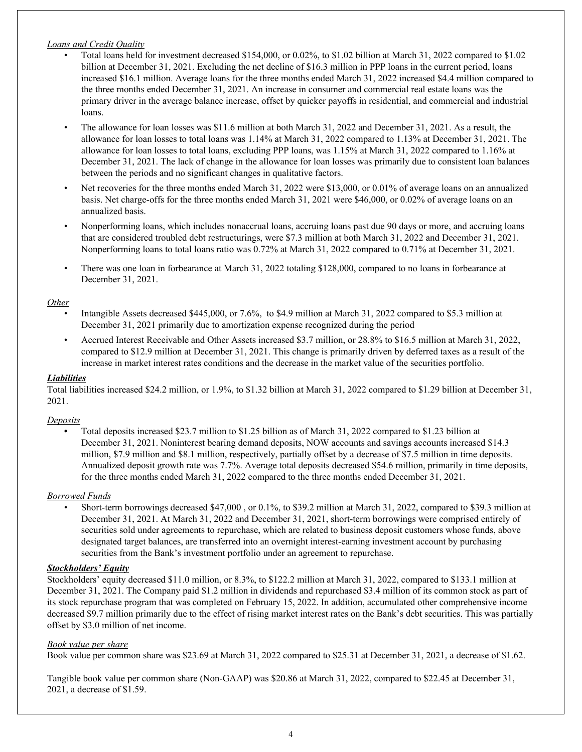### *Loans and Credit Quality*

- Total loans held for investment decreased \$154,000, or 0.02%, to \$1.02 billion at March 31, 2022 compared to \$1.02 billion at December 31, 2021. Excluding the net decline of \$16.3 million in PPP loans in the current period, loans increased \$16.1 million. Average loans for the three months ended March 31, 2022 increased \$4.4 million compared to the three months ended December 31, 2021. An increase in consumer and commercial real estate loans was the primary driver in the average balance increase, offset by quicker payoffs in residential, and commercial and industrial loans.
- The allowance for loan losses was \$11.6 million at both March 31, 2022 and December 31, 2021. As a result, the allowance for loan losses to total loans was 1.14% at March 31, 2022 compared to 1.13% at December 31, 2021. The allowance for loan losses to total loans, excluding PPP loans, was 1.15% at March 31, 2022 compared to 1.16% at December 31, 2021. The lack of change in the allowance for loan losses was primarily due to consistent loan balances between the periods and no significant changes in qualitative factors.
- Net recoveries for the three months ended March 31, 2022 were \$13,000, or 0.01% of average loans on an annualized basis. Net charge-offs for the three months ended March 31, 2021 were \$46,000, or 0.02% of average loans on an annualized basis.
- Nonperforming loans, which includes nonaccrual loans, accruing loans past due 90 days or more, and accruing loans that are considered troubled debt restructurings, were \$7.3 million at both March 31, 2022 and December 31, 2021. Nonperforming loans to total loans ratio was 0.72% at March 31, 2022 compared to 0.71% at December 31, 2021.
- There was one loan in forbearance at March 31, 2022 totaling \$128,000, compared to no loans in forbearance at December 31, 2021.

#### *Other*

- Intangible Assets decreased \$445,000, or 7.6%, to \$4.9 million at March 31, 2022 compared to \$5.3 million at December 31, 2021 primarily due to amortization expense recognized during the period
- Accrued Interest Receivable and Other Assets increased \$3.7 million, or 28.8% to \$16.5 million at March 31, 2022, compared to \$12.9 million at December 31, 2021. This change is primarily driven by deferred taxes as a result of the increase in market interest rates conditions and the decrease in the market value of the securities portfolio.

#### *Liabilities*

Total liabilities increased \$24.2 million, or 1.9%, to \$1.32 billion at March 31, 2022 compared to \$1.29 billion at December 31, 2021.

#### *Deposits*

**•** Total deposits increased \$23.7 million to \$1.25 billion as of March 31, 2022 compared to \$1.23 billion at December 31, 2021. Noninterest bearing demand deposits, NOW accounts and savings accounts increased \$14.3 million, \$7.9 million and \$8.1 million, respectively, partially offset by a decrease of \$7.5 million in time deposits. Annualized deposit growth rate was 7.7%. Average total deposits decreased \$54.6 million, primarily in time deposits, for the three months ended March 31, 2022 compared to the three months ended December 31, 2021.

# *Borrowed Funds*

• Short-term borrowings decreased \$47,000 , or 0.1%, to \$39.2 million at March 31, 2022, compared to \$39.3 million at December 31, 2021. At March 31, 2022 and December 31, 2021, short-term borrowings were comprised entirely of securities sold under agreements to repurchase, which are related to business deposit customers whose funds, above designated target balances, are transferred into an overnight interest-earning investment account by purchasing securities from the Bank's investment portfolio under an agreement to repurchase.

### *Stockholders' Equity*

Stockholders' equity decreased \$11.0 million, or 8.3%, to \$122.2 million at March 31, 2022, compared to \$133.1 million at December 31, 2021. The Company paid \$1.2 million in dividends and repurchased \$3.4 million of its common stock as part of its stock repurchase program that was completed on February 15, 2022. In addition, accumulated other comprehensive income decreased \$9.7 million primarily due to the effect of rising market interest rates on the Bank's debt securities. This was partially offset by \$3.0 million of net income.

### *Book value per share*

Book value per common share was \$23.69 at March 31, 2022 compared to \$25.31 at December 31, 2021, a decrease of \$1.62.

Tangible book value per common share (Non-GAAP) was \$20.86 at March 31, 2022, compared to \$22.45 at December 31, 2021, a decrease of \$1.59.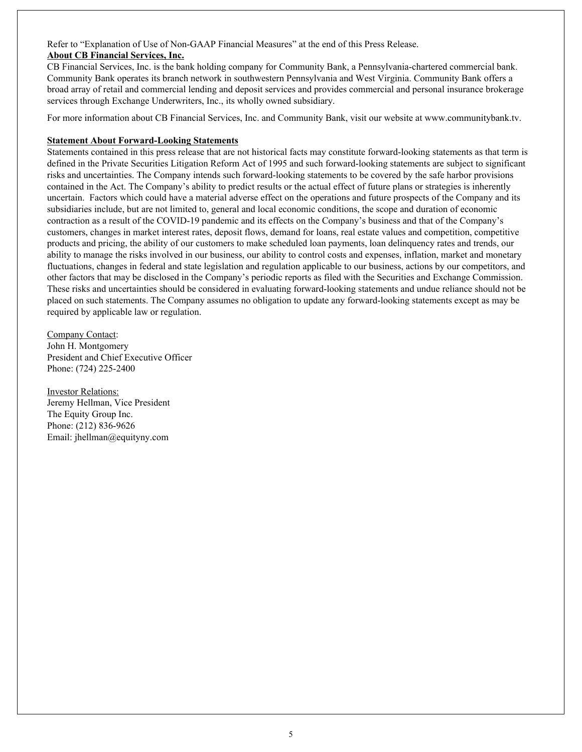Refer to "Explanation of Use of Non-GAAP Financial Measures" at the end of this Press Release. **About CB Financial Services, Inc.**

CB Financial Services, Inc. is the bank holding company for Community Bank, a Pennsylvania-chartered commercial bank. Community Bank operates its branch network in southwestern Pennsylvania and West Virginia. Community Bank offers a broad array of retail and commercial lending and deposit services and provides commercial and personal insurance brokerage services through Exchange Underwriters, Inc., its wholly owned subsidiary.

For more information about CB Financial Services, Inc. and Community Bank, visit our website at www.communitybank.tv.

### **Statement About Forward-Looking Statements**

Statements contained in this press release that are not historical facts may constitute forward-looking statements as that term is defined in the Private Securities Litigation Reform Act of 1995 and such forward-looking statements are subject to significant risks and uncertainties. The Company intends such forward-looking statements to be covered by the safe harbor provisions contained in the Act. The Company's ability to predict results or the actual effect of future plans or strategies is inherently uncertain. Factors which could have a material adverse effect on the operations and future prospects of the Company and its subsidiaries include, but are not limited to, general and local economic conditions, the scope and duration of economic contraction as a result of the COVID-19 pandemic and its effects on the Company's business and that of the Company's customers, changes in market interest rates, deposit flows, demand for loans, real estate values and competition, competitive products and pricing, the ability of our customers to make scheduled loan payments, loan delinquency rates and trends, our ability to manage the risks involved in our business, our ability to control costs and expenses, inflation, market and monetary fluctuations, changes in federal and state legislation and regulation applicable to our business, actions by our competitors, and other factors that may be disclosed in the Company's periodic reports as filed with the Securities and Exchange Commission. These risks and uncertainties should be considered in evaluating forward-looking statements and undue reliance should not be placed on such statements. The Company assumes no obligation to update any forward-looking statements except as may be required by applicable law or regulation.

Company Contact: John H. Montgomery President and Chief Executive Officer Phone: (724) 225-2400

Investor Relations: Jeremy Hellman, Vice President The Equity Group Inc. Phone: (212) 836-9626 Email: jhellman@equityny.com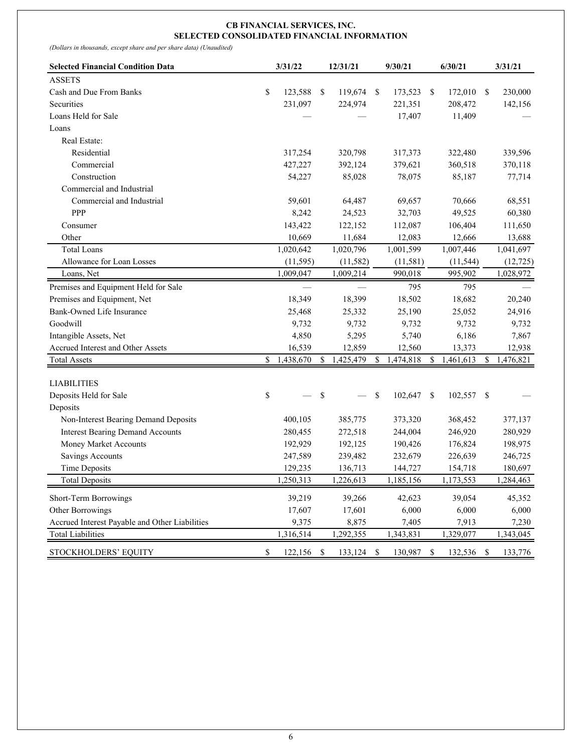#### **CB FINANCIAL SERVICES, INC. SELECTED CONSOLIDATED FINANCIAL INFORMATION**

*(Dollars in thousands, except share and per share data) (Unaudited)*

| <b>Selected Financial Condition Data</b>       | 3/31/22          |     | 12/31/21   | 9/30/21         |     | 6/30/21    | 3/31/21         |
|------------------------------------------------|------------------|-----|------------|-----------------|-----|------------|-----------------|
| <b>ASSETS</b>                                  |                  |     |            |                 |     |            |                 |
| Cash and Due From Banks                        | \$<br>123,588    | -\$ | 119,674    | \$<br>173,523   | -\$ | 172,010    | \$<br>230,000   |
| Securities                                     | 231,097          |     | 224,974    | 221,351         |     | 208,472    | 142,156         |
| Loans Held for Sale                            |                  |     |            | 17,407          |     | 11,409     |                 |
| Loans                                          |                  |     |            |                 |     |            |                 |
| Real Estate:                                   |                  |     |            |                 |     |            |                 |
| Residential                                    | 317,254          |     | 320,798    | 317,373         |     | 322,480    | 339,596         |
| Commercial                                     | 427,227          |     | 392,124    | 379,621         |     | 360,518    | 370,118         |
| Construction                                   | 54,227           |     | 85,028     | 78,075          |     | 85,187     | 77,714          |
| Commercial and Industrial                      |                  |     |            |                 |     |            |                 |
| Commercial and Industrial                      | 59,601           |     | 64,487     | 69,657          |     | 70,666     | 68,551          |
| PPP                                            | 8,242            |     | 24,523     | 32,703          |     | 49,525     | 60,380          |
| Consumer                                       | 143,422          |     | 122,152    | 112,087         |     | 106,404    | 111,650         |
| Other                                          | 10,669           |     | 11,684     | 12,083          |     | 12,666     | 13,688          |
| <b>Total Loans</b>                             | 1,020,642        |     | 1,020,796  | 1,001,599       |     | 1,007,446  | 1,041,697       |
| Allowance for Loan Losses                      | (11, 595)        |     | (11, 582)  | (11, 581)       |     | (11, 544)  | (12, 725)       |
| Loans, Net                                     | 1,009,047        |     | 1,009,214  | 990,018         |     | 995,902    | 1,028,972       |
| Premises and Equipment Held for Sale           |                  |     |            | 795             |     | 795        |                 |
| Premises and Equipment, Net                    | 18,349           |     | 18,399     | 18,502          |     | 18,682     | 20,240          |
| Bank-Owned Life Insurance                      | 25,468           |     | 25,332     | 25,190          |     | 25,052     | 24,916          |
| Goodwill                                       | 9,732            |     | 9,732      | 9,732           |     | 9,732      | 9,732           |
| Intangible Assets, Net                         | 4,850            |     | 5,295      | 5,740           |     | 6,186      | 7,867           |
| Accrued Interest and Other Assets              | 16,539           |     | 12,859     | 12,560          |     | 13,373     | 12,938          |
| <b>Total Assets</b>                            | \$<br>1,438,670  | \$  | 1,425,479  | \$<br>1,474,818 | \$  | 1,461,613  | \$<br>1,476,821 |
| <b>LIABILITIES</b>                             |                  |     |            |                 |     |            |                 |
| Deposits Held for Sale                         | \$               | \$  |            | \$<br>102,647   | -\$ | 102,557    | \$              |
| Deposits                                       |                  |     |            |                 |     |            |                 |
| Non-Interest Bearing Demand Deposits           | 400,105          |     | 385,775    | 373,320         |     | 368,452    | 377,137         |
| <b>Interest Bearing Demand Accounts</b>        | 280,455          |     | 272,518    | 244,004         |     | 246,920    | 280,929         |
| Money Market Accounts                          | 192,929          |     | 192,125    | 190,426         |     | 176,824    | 198,975         |
| Savings Accounts                               | 247,589          |     | 239,482    | 232,679         |     | 226,639    | 246,725         |
| <b>Time Deposits</b>                           | 129,235          |     | 136,713    | 144,727         |     | 154,718    | 180,697         |
| <b>Total Deposits</b>                          | 1.250.313        |     | 1,226,613  | 1,185,156       |     | 1,173,553  | 1,284,463       |
| Short-Term Borrowings                          | 39,219           |     | 39,266     | 42,623          |     | 39,054     | 45,352          |
| Other Borrowings                               | 17,607           |     | 17,601     | 6,000           |     | 6,000      | 6,000           |
| Accrued Interest Payable and Other Liabilities | 9,375            |     | 8,875      | 7,405           |     | 7,913      | 7,230           |
| <b>Total Liabilities</b>                       | 1,316,514        |     | 1,292,355  | 1,343,831       |     | 1,329,077  | 1,343,045       |
| STOCKHOLDERS' EQUITY                           | \$<br>122,156 \$ |     | 133,124 \$ | 130,987 \$      |     | 132,536 \$ | 133,776         |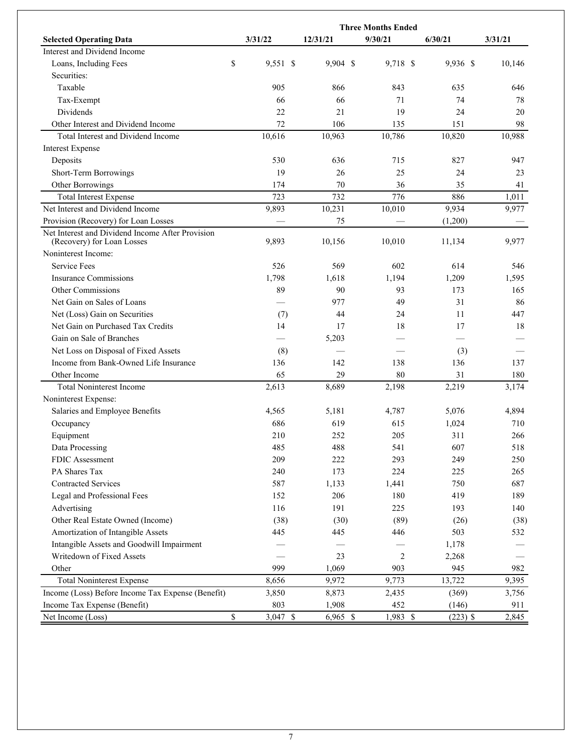|                                                                                | <b>Three Months Ended</b> |            |          |            |         |  |  |  |  |  |  |  |  |
|--------------------------------------------------------------------------------|---------------------------|------------|----------|------------|---------|--|--|--|--|--|--|--|--|
| <b>Selected Operating Data</b>                                                 | 3/31/22                   | 12/31/21   | 9/30/21  | 6/30/21    | 3/31/21 |  |  |  |  |  |  |  |  |
| Interest and Dividend Income                                                   |                           |            |          |            |         |  |  |  |  |  |  |  |  |
| Loans, Including Fees                                                          | \$<br>9,551 \$            | 9,904 \$   | 9,718 \$ | 9,936 \$   | 10,146  |  |  |  |  |  |  |  |  |
| Securities:                                                                    |                           |            |          |            |         |  |  |  |  |  |  |  |  |
| Taxable                                                                        | 905                       | 866        | 843      | 635        | 646     |  |  |  |  |  |  |  |  |
| Tax-Exempt                                                                     | 66                        | 66         | 71       | 74         | 78      |  |  |  |  |  |  |  |  |
| Dividends                                                                      | 22                        | 21         | 19       | 24         | 20      |  |  |  |  |  |  |  |  |
| Other Interest and Dividend Income                                             | 72                        | 106        | 135      | 151        | 98      |  |  |  |  |  |  |  |  |
| Total Interest and Dividend Income                                             | 10,616                    | 10,963     | 10,786   | 10,820     | 10,988  |  |  |  |  |  |  |  |  |
| <b>Interest Expense</b>                                                        |                           |            |          |            |         |  |  |  |  |  |  |  |  |
| Deposits                                                                       | 530                       | 636        | 715      | 827        | 947     |  |  |  |  |  |  |  |  |
| Short-Term Borrowings                                                          | 19                        | 26         | 25       | 24         | 23      |  |  |  |  |  |  |  |  |
| Other Borrowings                                                               | 174                       | 70         | 36       | 35         | 41      |  |  |  |  |  |  |  |  |
| <b>Total Interest Expense</b>                                                  | 723                       | 732        | 776      | 886        | 1,011   |  |  |  |  |  |  |  |  |
| Net Interest and Dividend Income                                               | 9,893                     | 10,231     | 10,010   | 9,934      | 9,977   |  |  |  |  |  |  |  |  |
| Provision (Recovery) for Loan Losses                                           |                           | 75         |          | (1,200)    |         |  |  |  |  |  |  |  |  |
| Net Interest and Dividend Income After Provision<br>(Recovery) for Loan Losses | 9,893                     | 10,156     | 10,010   | 11,134     | 9,977   |  |  |  |  |  |  |  |  |
| Noninterest Income:                                                            |                           |            |          |            |         |  |  |  |  |  |  |  |  |
| <b>Service Fees</b>                                                            | 526                       | 569        | 602      | 614        | 546     |  |  |  |  |  |  |  |  |
| Insurance Commissions                                                          | 1,798                     | 1,618      | 1,194    | 1,209      | 1,595   |  |  |  |  |  |  |  |  |
| Other Commissions                                                              | 89                        | 90         | 93       | 173        | 165     |  |  |  |  |  |  |  |  |
| Net Gain on Sales of Loans                                                     |                           | 977        | 49       | 31         | 86      |  |  |  |  |  |  |  |  |
| Net (Loss) Gain on Securities                                                  | (7)                       | 44         | 24       | 11         | 447     |  |  |  |  |  |  |  |  |
| Net Gain on Purchased Tax Credits                                              | 14                        | 17         | 18       | 17         | 18      |  |  |  |  |  |  |  |  |
| Gain on Sale of Branches                                                       |                           | 5,203      |          |            |         |  |  |  |  |  |  |  |  |
| Net Loss on Disposal of Fixed Assets                                           | (8)                       |            |          | (3)        |         |  |  |  |  |  |  |  |  |
| Income from Bank-Owned Life Insurance                                          | 136                       | 142        | 138      | 136        | 137     |  |  |  |  |  |  |  |  |
| Other Income                                                                   | 65                        | 29         | 80       | 31         | 180     |  |  |  |  |  |  |  |  |
| <b>Total Noninterest Income</b>                                                | 2,613                     | 8,689      | 2,198    | 2,219      | 3,174   |  |  |  |  |  |  |  |  |
| Noninterest Expense:                                                           |                           |            |          |            |         |  |  |  |  |  |  |  |  |
| Salaries and Employee Benefits                                                 | 4,565                     | 5,181      | 4,787    | 5,076      | 4,894   |  |  |  |  |  |  |  |  |
| Occupancy                                                                      | 686                       | 619        | 615      | 1,024      | 710     |  |  |  |  |  |  |  |  |
| Equipment                                                                      | 210                       | 252        | 205      | 311        | 266     |  |  |  |  |  |  |  |  |
| Data Processing                                                                | 485                       | 488        | 541      | 607        | 518     |  |  |  |  |  |  |  |  |
| FDIC Assessment                                                                | 209                       | 222        | 293      | 249        | 250     |  |  |  |  |  |  |  |  |
| PA Shares Tax                                                                  | 240                       | 173        | 224      | 225        | 265     |  |  |  |  |  |  |  |  |
| <b>Contracted Services</b>                                                     | 587                       | 1,133      | 1,441    | 750        | 687     |  |  |  |  |  |  |  |  |
| Legal and Professional Fees                                                    | 152                       | 206        | 180      | 419        | 189     |  |  |  |  |  |  |  |  |
| Advertising                                                                    | 116                       | 191        | 225      | 193        | 140     |  |  |  |  |  |  |  |  |
| Other Real Estate Owned (Income)                                               | (38)                      | (30)       | (89)     | (26)       | (38)    |  |  |  |  |  |  |  |  |
| Amortization of Intangible Assets                                              | 445                       | 445        | 446      | 503        | 532     |  |  |  |  |  |  |  |  |
| Intangible Assets and Goodwill Impairment                                      |                           |            |          | 1,178      |         |  |  |  |  |  |  |  |  |
| Writedown of Fixed Assets                                                      |                           | 23         | 2        | 2,268      |         |  |  |  |  |  |  |  |  |
| Other                                                                          | 999                       | 1,069      | 903      | 945        | 982     |  |  |  |  |  |  |  |  |
| <b>Total Noninterest Expense</b>                                               | 8,656                     | 9,972      | 9,773    | 13,722     | 9,395   |  |  |  |  |  |  |  |  |
| Income (Loss) Before Income Tax Expense (Benefit)                              | 3,850                     | 8,873      | 2,435    | (369)      | 3,756   |  |  |  |  |  |  |  |  |
| Income Tax Expense (Benefit)                                                   | 803                       | 1,908      | 452      | (146)      | 911     |  |  |  |  |  |  |  |  |
| Net Income (Loss)                                                              | \$<br>3,047 \$            | $6,965$ \$ | 1,983 \$ | $(223)$ \$ | 2,845   |  |  |  |  |  |  |  |  |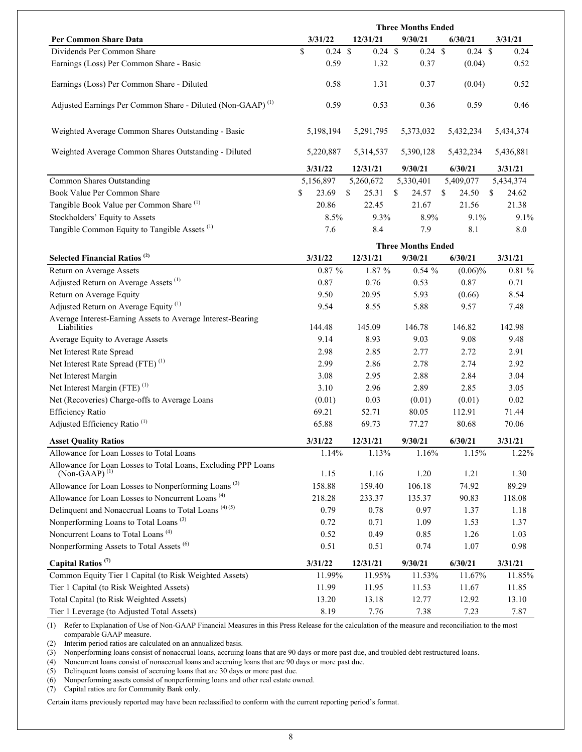|                                                                        | <b>Three Months Ended</b> |                    |     |                    |    |                   |     |                   |    |           |
|------------------------------------------------------------------------|---------------------------|--------------------|-----|--------------------|----|-------------------|-----|-------------------|----|-----------|
| Per Common Share Data                                                  |                           | 3/31/22            |     | 12/31/21           |    | 9/30/21           |     | 6/30/21           |    | 3/31/21   |
| Dividends Per Common Share                                             | \$                        | $0.24 \text{ }$ \$ |     | $0.24 \text{ } $s$ |    | $0.24 \text{ } $$ |     | $0.24 \text{ } $$ |    | 0.24      |
| Earnings (Loss) Per Common Share - Basic                               |                           | 0.59               |     | 1.32               |    | 0.37              |     | (0.04)            |    | 0.52      |
| Earnings (Loss) Per Common Share - Diluted                             |                           | 0.58               |     | 1.31               |    | 0.37              |     | (0.04)            |    | 0.52      |
| Adjusted Earnings Per Common Share - Diluted (Non-GAAP) <sup>(1)</sup> |                           | 0.59               |     | 0.53               |    | 0.36              |     | 0.59              |    | 0.46      |
| Weighted Average Common Shares Outstanding - Basic                     |                           | 5,198,194          |     | 5,291,795          |    | 5,373,032         |     | 5,432,234         |    | 5,434,374 |
| Weighted Average Common Shares Outstanding - Diluted                   |                           | 5,220,887          |     | 5,314,537          |    | 5,390,128         |     | 5,432,234         |    | 5,436,881 |
|                                                                        |                           | 3/31/22            |     | 12/31/21           |    | 9/30/21           |     | 6/30/21           |    | 3/31/21   |
| Common Shares Outstanding                                              |                           | 5,156,897          |     | 5,260,672          |    | 5,330,401         |     | 5,409,077         |    | 5,434,374 |
| Book Value Per Common Share                                            | \$                        | 23.69              | \$. | 25.31              | S. | 24.57             | \$. | 24.50             | S. | 24.62     |
| Tangible Book Value per Common Share <sup>(1)</sup>                    |                           | 20.86              |     | 22.45              |    | 21.67             |     | 21.56             |    | 21.38     |
| Stockholders' Equity to Assets                                         |                           | 8.5%               |     | $9.3\%$            |    | 8.9%              |     | $9.1\%$           |    | $9.1\%$   |
| Tangible Common Equity to Tangible Assets <sup>(1)</sup>               |                           | 7.6                |     | 8.4                |    | 7.9               |     | 8.1               |    | 8.0       |

|                                                                                     | <b>Three Months Ended</b> |          |           |            |         |  |  |  |  |  |  |
|-------------------------------------------------------------------------------------|---------------------------|----------|-----------|------------|---------|--|--|--|--|--|--|
| Selected Financial Ratios <sup>(2)</sup>                                            | 3/31/22                   | 12/31/21 | 9/30/21   | 6/30/21    | 3/31/21 |  |  |  |  |  |  |
| Return on Average Assets                                                            | $0.87 \%$                 | 1.87 %   | $0.54 \%$ | $(0.06)\%$ | 0.81%   |  |  |  |  |  |  |
| Adjusted Return on Average Assets <sup>(1)</sup>                                    | 0.87                      | 0.76     | 0.53      | 0.87       | 0.71    |  |  |  |  |  |  |
| Return on Average Equity                                                            | 9.50                      | 20.95    | 5.93      | (0.66)     | 8.54    |  |  |  |  |  |  |
| Adjusted Return on Average Equity <sup>(1)</sup>                                    | 9.54                      | 8.55     | 5.88      | 9.57       | 7.48    |  |  |  |  |  |  |
| Average Interest-Earning Assets to Average Interest-Bearing<br>Liabilities          | 144.48                    | 145.09   | 146.78    | 146.82     | 142.98  |  |  |  |  |  |  |
| Average Equity to Average Assets                                                    | 9.14                      | 8.93     | 9.03      | 9.08       | 9.48    |  |  |  |  |  |  |
| Net Interest Rate Spread                                                            | 2.98                      | 2.85     | 2.77      | 2.72       | 2.91    |  |  |  |  |  |  |
| Net Interest Rate Spread (FTE) <sup>(1)</sup>                                       | 2.99                      | 2.86     | 2.78      | 2.74       | 2.92    |  |  |  |  |  |  |
| Net Interest Margin                                                                 | 3.08                      | 2.95     | 2.88      | 2.84       | 3.04    |  |  |  |  |  |  |
| Net Interest Margin (FTE) $(1)$                                                     | 3.10                      | 2.96     | 2.89      | 2.85       | 3.05    |  |  |  |  |  |  |
| Net (Recoveries) Charge-offs to Average Loans                                       | (0.01)                    | 0.03     | (0.01)    | (0.01)     | 0.02    |  |  |  |  |  |  |
| <b>Efficiency Ratio</b>                                                             | 69.21                     | 52.71    | 80.05     | 112.91     | 71.44   |  |  |  |  |  |  |
| Adjusted Efficiency Ratio <sup>(1)</sup>                                            | 65.88                     | 69.73    | 77.27     | 80.68      | 70.06   |  |  |  |  |  |  |
| <b>Asset Quality Ratios</b>                                                         | 3/31/22                   | 12/31/21 | 9/30/21   | 6/30/21    | 3/31/21 |  |  |  |  |  |  |
| Allowance for Loan Losses to Total Loans                                            | 1.14%                     | 1.13%    | 1.16%     | 1.15%      | 1.22%   |  |  |  |  |  |  |
| Allowance for Loan Losses to Total Loans, Excluding PPP Loans<br>$(Non-GAAP)^{(1)}$ | 1.15                      | 1.16     | 1.20      | 1.21       | 1.30    |  |  |  |  |  |  |
| Allowance for Loan Losses to Nonperforming Loans <sup>(3)</sup>                     | 158.88                    | 159.40   | 106.18    | 74.92      | 89.29   |  |  |  |  |  |  |
| Allowance for Loan Losses to Noncurrent Loans <sup>(4)</sup>                        | 218.28                    | 233.37   | 135.37    | 90.83      | 118.08  |  |  |  |  |  |  |
| Delinquent and Nonaccrual Loans to Total Loans <sup>(4)(5)</sup>                    | 0.79                      | 0.78     | 0.97      | 1.37       | 1.18    |  |  |  |  |  |  |
| Nonperforming Loans to Total Loans <sup>(3)</sup>                                   | 0.72                      | 0.71     | 1.09      | 1.53       | 1.37    |  |  |  |  |  |  |
| Noncurrent Loans to Total Loans <sup>(4)</sup>                                      | 0.52                      | 0.49     | 0.85      | 1.26       | 1.03    |  |  |  |  |  |  |
| Nonperforming Assets to Total Assets <sup>(6)</sup>                                 | 0.51                      | 0.51     | 0.74      | 1.07       | 0.98    |  |  |  |  |  |  |
| Capital Ratios <sup>(7)</sup>                                                       | 3/31/22                   | 12/31/21 | 9/30/21   | 6/30/21    | 3/31/21 |  |  |  |  |  |  |
| Common Equity Tier 1 Capital (to Risk Weighted Assets)                              | 11.99%                    | 11.95%   | 11.53%    | 11.67%     | 11.85%  |  |  |  |  |  |  |
| Tier 1 Capital (to Risk Weighted Assets)                                            | 11.99                     | 11.95    | 11.53     | 11.67      | 11.85   |  |  |  |  |  |  |
|                                                                                     |                           |          |           |            |         |  |  |  |  |  |  |
| Total Capital (to Risk Weighted Assets)                                             | 13.20                     | 13.18    | 12.77     | 12.92      | 13.10   |  |  |  |  |  |  |

(1) Refer to Explanation of Use of Non-GAAP Financial Measures in this Press Release for the calculation of the measure and reconciliation to the most comparable GAAP measure.

(2) Interim period ratios are calculated on an annualized basis.

(3) Nonperforming loans consist of nonaccrual loans, accruing loans that are 90 days or more past due, and troubled debt restructured loans.

(4) Noncurrent loans consist of nonaccrual loans and accruing loans that are 90 days or more past due.

(5) Delinquent loans consist of accruing loans that are 30 days or more past due.

(6) Nonperforming assets consist of nonperforming loans and other real estate owned.

(7) Capital ratios are for Community Bank only.

Certain items previously reported may have been reclassified to conform with the current reporting period's format.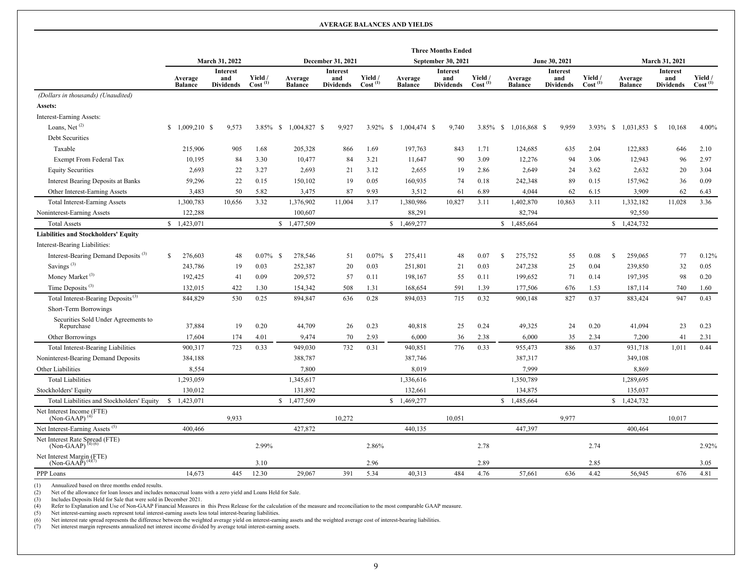#### **AVERAGE BALANCES AND YIELDS**

|                                                                             |                           |                                            |                                |                           |                                     |                                |                           | <b>Three Months Ended</b>           |                                |                           |                                            |                                |                           |                                            |                                |
|-----------------------------------------------------------------------------|---------------------------|--------------------------------------------|--------------------------------|---------------------------|-------------------------------------|--------------------------------|---------------------------|-------------------------------------|--------------------------------|---------------------------|--------------------------------------------|--------------------------------|---------------------------|--------------------------------------------|--------------------------------|
|                                                                             |                           | March 31, 2022                             |                                |                           | December 31, 2021                   |                                |                           | <b>September 30, 2021</b>           |                                |                           | June 30, 2021                              |                                | March 31, 2021            |                                            |                                |
|                                                                             | Average<br><b>Balance</b> | <b>Interest</b><br>and<br><b>Dividends</b> | Yield /<br>Cost <sup>(1)</sup> | Average<br><b>Balance</b> | Interest<br>and<br><b>Dividends</b> | Yield /<br>Cost <sup>(1)</sup> | Average<br><b>Balance</b> | Interest<br>and<br><b>Dividends</b> | Yield /<br>Cost <sup>(1)</sup> | Average<br><b>Balance</b> | <b>Interest</b><br>and<br><b>Dividends</b> | Yield /<br>Cost <sup>(1)</sup> | Average<br><b>Balance</b> | <b>Interest</b><br>and<br><b>Dividends</b> | Yield /<br>Cost <sup>(1)</sup> |
| (Dollars in thousands) (Unaudited)                                          |                           |                                            |                                |                           |                                     |                                |                           |                                     |                                |                           |                                            |                                |                           |                                            |                                |
| Assets:                                                                     |                           |                                            |                                |                           |                                     |                                |                           |                                     |                                |                           |                                            |                                |                           |                                            |                                |
| Interest-Earning Assets:                                                    |                           |                                            |                                |                           |                                     |                                |                           |                                     |                                |                           |                                            |                                |                           |                                            |                                |
| Loans, Net <sup>(2)</sup>                                                   | $$1,009,210$ \$           | 9,573                                      | $3.85\%$ \$                    | 1,004,827 \$              | 9,927                               |                                | 3.92% \$ 1,004,474 \$     | 9,740                               |                                | 3.85% \$ 1,016,868 \$     | 9,959                                      | $3.93\%$ \$                    | 1,031,853 \$              | 10,168                                     | 4.00%                          |
| Debt Securities                                                             |                           |                                            |                                |                           |                                     |                                |                           |                                     |                                |                           |                                            |                                |                           |                                            |                                |
| Taxable                                                                     | 215,906                   | 905                                        | 1.68                           | 205,328                   | 866                                 | 1.69                           | 197,763                   | 843                                 | 1.71                           | 124,685                   | 635                                        | 2.04                           | 122,883                   | 646                                        | 2.10                           |
| Exempt From Federal Tax                                                     | 10,195                    | 84                                         | 3.30                           | 10,477                    | 84                                  | 3.21                           | 11,647                    | 90                                  | 3.09                           | 12,276                    | 94                                         | 3.06                           | 12,943                    | 96                                         | 2.97                           |
| <b>Equity Securities</b>                                                    | 2,693                     | 22                                         | 3.27                           | 2,693                     | 21                                  | 3.12                           | 2,655                     | 19                                  | 2.86                           | 2,649                     | 24                                         | 3.62                           | 2,632                     | 20                                         | 3.04                           |
| Interest Bearing Deposits at Banks                                          | 59,296                    | 22                                         | 0.15                           | 150,102                   | 19                                  | 0.05                           | 160,935                   | 74                                  | 0.18                           | 242,348                   | 89                                         | 0.15                           | 157,962                   | 36                                         | 0.09                           |
| Other Interest-Earning Assets                                               | 3,483                     | 50                                         | 5.82                           | 3,475                     | 87                                  | 9.93                           | 3,512                     | 61                                  | 6.89                           | 4,044                     | 62                                         | 6.15                           | 3,909                     | 62                                         | 6.43                           |
| <b>Total Interest-Earning Assets</b>                                        | 1,300,783                 | 10,656                                     | 3.32                           | 1,376,902                 | 11,004                              | 3.17                           | 1,380,986                 | 10,827                              | 3.11                           | 1,402,870                 | 10,863                                     | 3.11                           | 1,332,182                 | 11,028                                     | 3.36                           |
| Noninterest-Earning Assets                                                  | 122,288                   |                                            |                                | 100,607                   |                                     |                                | 88,291                    |                                     |                                | 82,794                    |                                            |                                | 92,550                    |                                            |                                |
| <b>Total Assets</b>                                                         | \$1,423,071               |                                            |                                | \$1,477,509               |                                     |                                | \$1,469,277               |                                     |                                | \$1,485,664               |                                            |                                | \$1,424,732               |                                            |                                |
| <b>Liabilities and Stockholders' Equity</b>                                 |                           |                                            |                                |                           |                                     |                                |                           |                                     |                                |                           |                                            |                                |                           |                                            |                                |
| Interest-Bearing Liabilities:                                               |                           |                                            |                                |                           |                                     |                                |                           |                                     |                                |                           |                                            |                                |                           |                                            |                                |
| Interest-Bearing Demand Deposits <sup>(3)</sup>                             | 276,603<br>\$             | 48                                         | <sup>\$</sup><br>$0.07\%$      | 278,546                   | 51                                  | $0.07\%$ \$                    | 275,411                   | 48                                  | 0.07                           | -S<br>275,752             | 55                                         | 0.08                           | $\mathbb{S}$<br>259,065   | 77                                         | 0.12%                          |
| Savings $(3)$                                                               | 243,786                   | 19                                         | 0.03                           | 252,387                   | 20                                  | 0.03                           | 251,801                   | 21                                  | 0.03                           | 247,238                   | 25                                         | 0.04                           | 239,850                   | 32                                         | 0.05                           |
| Money Market <sup>(3)</sup>                                                 | 192,425                   | 41                                         | 0.09                           | 209,572                   | 57                                  | 0.11                           | 198,167                   | 55                                  | 0.11                           | 199,652                   | 71                                         | 0.14                           | 197,395                   | 98                                         | 0.20                           |
| Time Deposits <sup>(3)</sup>                                                | 132,015                   | 422                                        | 1.30                           | 154,342                   | 508                                 | 1.31                           | 168,654                   | 591                                 | 1.39                           | 177,506                   | 676                                        | 1.53                           | 187,114                   | 740                                        | 1.60                           |
| Total Interest-Bearing Deposits <sup>(3)</sup>                              | 844,829                   | 530                                        | 0.25                           | 894,847                   | 636                                 | 0.28                           | 894,033                   | 715                                 | 0.32                           | 900,148                   | 827                                        | 0.37                           | 883,424                   | 947                                        | 0.43                           |
| Short-Term Borrowings                                                       |                           |                                            |                                |                           |                                     |                                |                           |                                     |                                |                           |                                            |                                |                           |                                            |                                |
| Securities Sold Under Agreements to<br>Repurchase                           | 37,884                    | 19                                         | 0.20                           | 44,709                    | 26                                  | 0.23                           | 40,818                    | 25                                  | 0.24                           | 49,325                    | 24                                         | 0.20                           | 41,094                    | 23                                         | 0.23                           |
| Other Borrowings                                                            | 17,604                    | 174                                        | 4.01                           | 9,474                     | 70                                  | 2.93                           | 6.000                     | 36                                  | 2.38                           | 6.000                     | 35                                         | 2.34                           | 7,200                     | 41                                         | 2.31                           |
| <b>Total Interest-Bearing Liabilities</b>                                   | 900,317                   | 723                                        | 0.33                           | 949,030                   | 732                                 | 0.31                           | 940,851                   | 776                                 | 0.33                           | 955,473                   | 886                                        | 0.37                           | 931,718                   | 1,011                                      | 0.44                           |
| Noninterest-Bearing Demand Deposits                                         | 384,188                   |                                            |                                | 388,787                   |                                     |                                | 387,746                   |                                     |                                | 387,317                   |                                            |                                | 349,108                   |                                            |                                |
| Other Liabilities                                                           | 8,554                     |                                            |                                | 7,800                     |                                     |                                | 8,019                     |                                     |                                | 7,999                     |                                            |                                | 8,869                     |                                            |                                |
| <b>Total Liabilities</b>                                                    | 1,293,059                 |                                            |                                | 1,345,617                 |                                     |                                | 1,336,616                 |                                     |                                | 1,350,789                 |                                            |                                | 1,289,695                 |                                            |                                |
| Stockholders' Equity                                                        | 130,012                   |                                            |                                | 131,892                   |                                     |                                | 132,661                   |                                     |                                | 134,875                   |                                            |                                | 135,037                   |                                            |                                |
| Total Liabilities and Stockholders' Equity                                  | \$1,423,071               |                                            |                                | \$1,477,509               |                                     |                                | \$1,469,277               |                                     |                                | \$1,485,664               |                                            |                                | \$1,424,732               |                                            |                                |
| Net Interest Income (FTE)<br>$(Non-GAAP)^{(4)}$                             |                           | 9,933                                      |                                |                           | 10,272                              |                                |                           | 10,051                              |                                |                           | 9,977                                      |                                |                           | 10,017                                     |                                |
| Net Interest-Earning Assets <sup>(5)</sup>                                  | 400.466                   |                                            |                                | 427,872                   |                                     |                                | 440,135                   |                                     |                                | 447,397                   |                                            |                                | 400,464                   |                                            |                                |
| Net Interest Rate Spread (FTE)<br>(Non-GAAP) <sup><math>(4)(6)</math></sup> |                           |                                            | 2.99%                          |                           |                                     | 2.86%                          |                           |                                     | 2.78                           |                           |                                            | 2.74                           |                           |                                            | 2.92%                          |
| Net Interest Margin (FTE)<br>$(Non-GAA\bar{P})^{(4)(7)}$                    |                           |                                            | 3.10                           |                           |                                     | 2.96                           |                           |                                     | 2.89                           |                           |                                            | 2.85                           |                           |                                            | 3.05                           |
| PPP Loans                                                                   | 14,673                    | 445                                        | 12.30                          | 29,067                    | 391                                 | 5.34                           | 40,313                    | 484                                 | 4.76                           | 57,661                    | 636                                        | 4.42                           | 56,945                    | 676                                        | 4.81                           |

(1) Annualized based on three months ended results.<br>(2) Net of the allowance for loan losses and includes

(2) Net of the allowance for loan losses and includes nonaccrual loans with a zero yield and Loans Held for Sale.<br>(3) Includes Deposits Held for Sale that were sold in December 2021.

(3) Includes Deposits Held for Sale that were sold in December 2021.<br>(4) Refer to Explanation and Use of Non-GAAP Financial Measures in this Press Release for the calculation of the measure and reconciliation to the most c

(5) Net interest-earning assets represent total interest-earning assets less total interest-bearing liabilities.<br>(6) Net interest rate spread represents the difference between the weighted average yield on interest-earning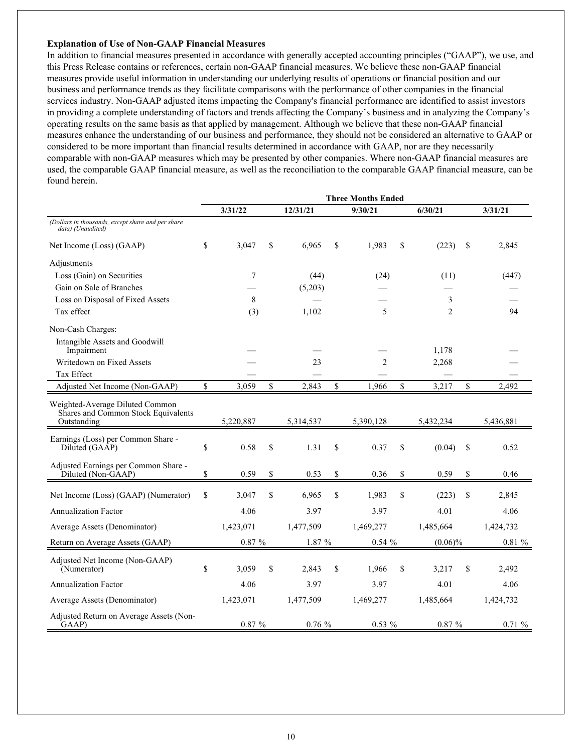#### **Explanation of Use of Non-GAAP Financial Measures**

In addition to financial measures presented in accordance with generally accepted accounting principles ("GAAP"), we use, and this Press Release contains or references, certain non-GAAP financial measures. We believe these non-GAAP financial measures provide useful information in understanding our underlying results of operations or financial position and our business and performance trends as they facilitate comparisons with the performance of other companies in the financial services industry. Non-GAAP adjusted items impacting the Company's financial performance are identified to assist investors in providing a complete understanding of factors and trends affecting the Company's business and in analyzing the Company's operating results on the same basis as that applied by management. Although we believe that these non-GAAP financial measures enhance the understanding of our business and performance, they should not be considered an alternative to GAAP or considered to be more important than financial results determined in accordance with GAAP, nor are they necessarily comparable with non-GAAP measures which may be presented by other companies. Where non-GAAP financial measures are used, the comparable GAAP financial measure, as well as the reconciliation to the comparable GAAP financial measure, can be found herein.

|                                                                                       | <b>Three Months Ended</b> |           |    |           |             |                |    |                |               |           |
|---------------------------------------------------------------------------------------|---------------------------|-----------|----|-----------|-------------|----------------|----|----------------|---------------|-----------|
|                                                                                       |                           | 3/31/22   |    | 12/31/21  |             | 9/30/21        |    | 6/30/21        |               | 3/31/21   |
| (Dollars in thousands, except share and per share<br>data) (Unaudited)                |                           |           |    |           |             |                |    |                |               |           |
| Net Income (Loss) (GAAP)                                                              | \$                        | 3,047     | \$ | 6,965     | \$          | 1,983          | \$ | (223)          | \$            | 2,845     |
| Adjustments                                                                           |                           |           |    |           |             |                |    |                |               |           |
| Loss (Gain) on Securities                                                             |                           | $\tau$    |    | (44)      |             | (24)           |    | (11)           |               | (447)     |
| Gain on Sale of Branches                                                              |                           |           |    | (5,203)   |             |                |    |                |               |           |
| Loss on Disposal of Fixed Assets                                                      |                           | 8         |    |           |             |                |    | 3              |               |           |
| Tax effect                                                                            |                           | (3)       |    | 1,102     |             | 5              |    | $\mathfrak{D}$ |               | 94        |
| Non-Cash Charges:                                                                     |                           |           |    |           |             |                |    |                |               |           |
| Intangible Assets and Goodwill<br>Impairment                                          |                           |           |    |           |             |                |    | 1,178          |               |           |
| Writedown on Fixed Assets                                                             |                           |           |    | 23        |             | $\overline{c}$ |    | 2,268          |               |           |
| Tax Effect                                                                            |                           |           |    |           |             |                |    |                |               |           |
| Adjusted Net Income (Non-GAAP)                                                        | \$                        | 3,059     | \$ | 2,843     | $\mathbf S$ | 1,966          | \$ | 3,217          | \$            | 2,492     |
| Weighted-Average Diluted Common<br>Shares and Common Stock Equivalents<br>Outstanding |                           | 5,220,887 |    | 5,314,537 |             | 5,390,128      |    | 5,432,234      |               | 5,436,881 |
|                                                                                       |                           |           |    |           |             |                |    |                |               |           |
| Earnings (Loss) per Common Share -<br>Diluted (GAAP)                                  | \$                        | 0.58      | \$ | 1.31      | \$          | 0.37           | \$ | (0.04)         | <sup>\$</sup> | 0.52      |
| Adjusted Earnings per Common Share -<br>Diluted (Non-GAAP)                            | \$                        | 0.59      | \$ | 0.53      | \$          | 0.36           | \$ | 0.59           | \$            | 0.46      |
| Net Income (Loss) (GAAP) (Numerator)                                                  | \$                        | 3,047     | \$ | 6,965     | \$          | 1,983          | \$ | (223)          | \$            | 2,845     |
| <b>Annualization Factor</b>                                                           |                           | 4.06      |    | 3.97      |             | 3.97           |    | 4.01           |               | 4.06      |
| Average Assets (Denominator)                                                          |                           | 1,423,071 |    | 1,477,509 |             | 1,469,277      |    | 1,485,664      |               | 1,424,732 |
| Return on Average Assets (GAAP)                                                       |                           | $0.87~\%$ |    | 1.87 %    |             | 0.54%          |    | $(0.06)\%$     |               | 0.81%     |
| Adjusted Net Income (Non-GAAP)<br>(Numerator)                                         | \$                        | 3,059     | \$ | 2,843     | \$          | 1,966          | \$ | 3,217          | \$            | 2,492     |
| <b>Annualization Factor</b>                                                           |                           | 4.06      |    | 3.97      |             | 3.97           |    | 4.01           |               | 4.06      |
| Average Assets (Denominator)                                                          |                           | 1,423,071 |    | 1,477,509 |             | 1,469,277      |    | 1,485,664      |               | 1,424,732 |
| Adjusted Return on Average Assets (Non-<br>GAAP)                                      |                           | $0.87 \%$ |    | 0.76%     |             | $0.53\%$       |    | 0.87%          |               | 0.71%     |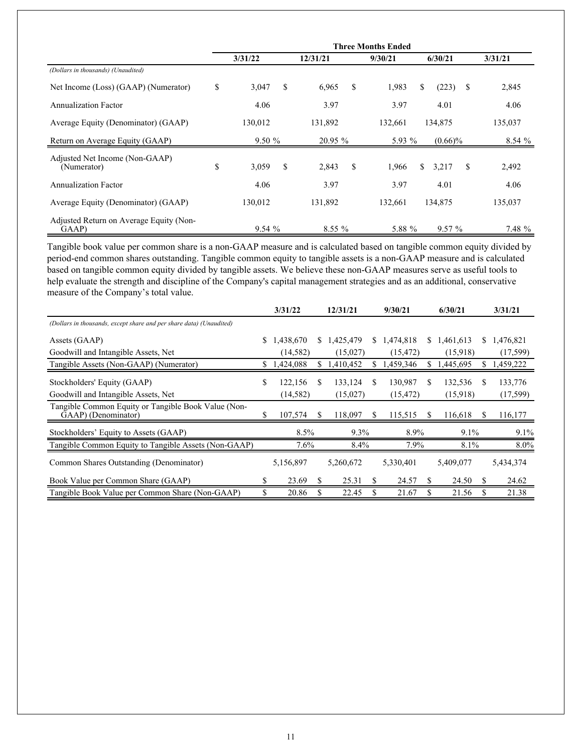|                                                  | <b>Three Months Ended</b> |           |    |          |    |         |                   |         |  |  |
|--------------------------------------------------|---------------------------|-----------|----|----------|----|---------|-------------------|---------|--|--|
|                                                  |                           | 3/31/22   |    | 12/31/21 |    | 9/30/21 | 6/30/21           | 3/31/21 |  |  |
| (Dollars in thousands) (Unaudited)               |                           |           |    |          |    |         |                   |         |  |  |
| Net Income (Loss) (GAAP) (Numerator)             | \$                        | 3,047     | \$ | 6,965    | \$ | 1,983   | (223)<br>S<br>\$  | 2,845   |  |  |
| <b>Annualization Factor</b>                      |                           | 4.06      |    | 3.97     |    | 3.97    | 4.01              | 4.06    |  |  |
| Average Equity (Denominator) (GAAP)              |                           | 130,012   |    | 131,892  |    | 132,661 | 134,875           | 135,037 |  |  |
| Return on Average Equity (GAAP)                  |                           | $9.50 \%$ |    | 20.95%   |    | 5.93 %  | $(0.66)\%$        | 8.54%   |  |  |
| Adjusted Net Income (Non-GAAP)<br>(Numerator)    | \$                        | 3,059     | \$ | 2,843    | \$ | 1,966   | \$<br>S.<br>3,217 | 2,492   |  |  |
| <b>Annualization Factor</b>                      |                           | 4.06      |    | 3.97     |    | 3.97    | 4.01              | 4.06    |  |  |
| Average Equity (Denominator) (GAAP)              |                           | 130,012   |    | 131,892  |    | 132,661 | 134,875           | 135,037 |  |  |
| Adjusted Return on Average Equity (Non-<br>GAAP) |                           | 9.54%     |    | $8.55\%$ |    | 5.88 %  | 9.57%             | 7.48 %  |  |  |

Tangible book value per common share is a non-GAAP measure and is calculated based on tangible common equity divided by period-end common shares outstanding. Tangible common equity to tangible assets is a non-GAAP measure and is calculated based on tangible common equity divided by tangible assets. We believe these non-GAAP measures serve as useful tools to help evaluate the strength and discipline of the Company's capital management strategies and as an additional, conservative measure of the Company's total value.

|                                                                            |    | 3/31/22   |    | 12/31/21  |    | 9/30/21     |    | 6/30/21     |     | 3/31/21   |
|----------------------------------------------------------------------------|----|-----------|----|-----------|----|-------------|----|-------------|-----|-----------|
| (Dollars in thousands, except share and per share data) (Unaudited)        |    |           |    |           |    |             |    |             |     |           |
| Assets (GAAP)                                                              | S. | 1,438,670 | S. | 1,425,479 |    | \$1,474,818 |    | \$1,461,613 | S.  | 1,476,821 |
| Goodwill and Intangible Assets, Net                                        |    | (14, 582) |    | (15,027)  |    | (15, 472)   |    | (15,918)    |     | (17, 599) |
| Tangible Assets (Non-GAAP) (Numerator)                                     |    | 1,424,088 | S  | 1,410,452 | \$ | 1,459,346   | S. | 1,445,695   | S.  | 1,459,222 |
| Stockholders' Equity (GAAP)                                                | \$ | 122,156   | \$ | 133,124   | \$ | 130,987     | \$ | 132,536     | S   | 133,776   |
| Goodwill and Intangible Assets, Net                                        |    | (14, 582) |    | (15,027)  |    | (15, 472)   |    | (15,918)    |     | (17,599)  |
| Tangible Common Equity or Tangible Book Value (Non-<br>GAAP) (Denominator) | \$ | 107,574   |    | 118,097   | S  | 115,515     | S  | 116,618     | \$. | 116,177   |
| Stockholders' Equity to Assets (GAAP)                                      |    | 8.5%      |    | $9.3\%$   |    | 8.9%        |    | $9.1\%$     |     | $9.1\%$   |
| Tangible Common Equity to Tangible Assets (Non-GAAP)                       |    | 7.6%      |    | 8.4%      |    | 7.9%        |    | 8.1%        |     | $8.0\%$   |
| Common Shares Outstanding (Denominator)                                    |    | 5,156,897 |    | 5,260,672 |    | 5,330,401   |    | 5,409,077   |     | 5,434,374 |
| Book Value per Common Share (GAAP)                                         | \$ | 23.69     | S  | 25.31     | S  | 24.57       | S  | 24.50       | S   | 24.62     |
| Tangible Book Value per Common Share (Non-GAAP)                            | \$ | 20.86     |    | 22.45     |    | 21.67       | \$ | 21.56       |     | 21.38     |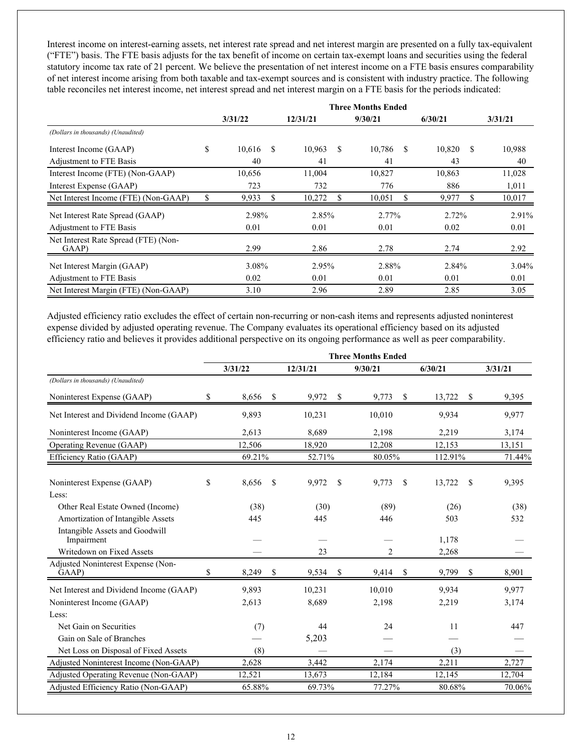Interest income on interest-earning assets, net interest rate spread and net interest margin are presented on a fully tax-equivalent ("FTE") basis. The FTE basis adjusts for the tax benefit of income on certain tax-exempt loans and securities using the federal statutory income tax rate of 21 percent. We believe the presentation of net interest income on a FTE basis ensures comparability of net interest income arising from both taxable and tax-exempt sources and is consistent with industry practice. The following table reconciles net interest income, net interest spread and net interest margin on a FTE basis for the periods indicated:

|                                               | <b>Three Months Ended</b> |    |          |    |         |   |         |   |          |  |  |
|-----------------------------------------------|---------------------------|----|----------|----|---------|---|---------|---|----------|--|--|
|                                               | 3/31/22                   |    | 12/31/21 |    | 9/30/21 |   | 6/30/21 |   | 3/31/21  |  |  |
| (Dollars in thousands) (Unaudited)            |                           |    |          |    |         |   |         |   |          |  |  |
| Interest Income (GAAP)                        | \$<br>10,616              | -S | 10,963   | S. | 10,786  | S | 10,820  | S | 10,988   |  |  |
| Adjustment to FTE Basis                       | 40                        |    | 41       |    | 41      |   | 43      |   | 40       |  |  |
| Interest Income (FTE) (Non-GAAP)              | 10,656                    |    | 11,004   |    | 10,827  |   | 10,863  |   | 11,028   |  |  |
| Interest Expense (GAAP)                       | 723                       |    | 732      |    | 776     |   | 886     |   | 1,011    |  |  |
| Net Interest Income (FTE) (Non-GAAP)          | \$<br>9,933               |    | 10,272   |    | 10,051  |   | 9,977   |   | 10,017   |  |  |
| Net Interest Rate Spread (GAAP)               | 2.98%                     |    | 2.85%    |    | 2.77%   |   | 2.72%   |   | 2.91%    |  |  |
| Adjustment to FTE Basis                       | 0.01                      |    | 0.01     |    | 0.01    |   | 0.02    |   | 0.01     |  |  |
| Net Interest Rate Spread (FTE) (Non-<br>GAAP) | 2.99                      |    | 2.86     |    | 2.78    |   | 2.74    |   | 2.92     |  |  |
| Net Interest Margin (GAAP)                    | 3.08%                     |    | 2.95%    |    | 2.88%   |   | 2.84%   |   | $3.04\%$ |  |  |
| Adjustment to FTE Basis                       | 0.02                      |    | 0.01     |    | 0.01    |   | 0.01    |   | 0.01     |  |  |
| Net Interest Margin (FTE) (Non-GAAP)          | 3.10                      |    | 2.96     |    | 2.89    |   | 2.85    |   | 3.05     |  |  |

Adjusted efficiency ratio excludes the effect of certain non-recurring or non-cash items and represents adjusted noninterest expense divided by adjusted operating revenue. The Company evaluates its operational efficiency based on its adjusted efficiency ratio and believes it provides additional perspective on its ongoing performance as well as peer comparability.

|                                              |    |         |    |          |    | <b>Three Months Ended</b> |              |         |
|----------------------------------------------|----|---------|----|----------|----|---------------------------|--------------|---------|
|                                              |    | 3/31/22 |    | 12/31/21 |    | 9/30/21                   | 6/30/21      | 3/31/21 |
| (Dollars in thousands) (Unaudited)           |    |         |    |          |    |                           |              |         |
| Noninterest Expense (GAAP)                   | S  | 8,656   | -S | 9,972    | -S | 9,773<br>-S               | 13,722<br>-S | 9,395   |
| Net Interest and Dividend Income (GAAP)      |    | 9,893   |    | 10,231   |    | 10,010                    | 9,934        | 9,977   |
| Noninterest Income (GAAP)                    |    | 2,613   |    | 8,689    |    | 2,198                     | 2,219        | 3,174   |
| Operating Revenue (GAAP)                     |    | 12.506  |    | 18.920   |    | 12.208                    | 12.153       | 13,151  |
| Efficiency Ratio (GAAP)                      |    | 69.21%  |    | 52.71%   |    | 80.05%                    | 112.91%      | 71.44%  |
| Noninterest Expense (GAAP)                   | S. | 8,656   | \$ | 9,972    | S  | 9,773<br>S                | 13,722<br>\$ | 9,395   |
| Less:                                        |    |         |    |          |    |                           |              |         |
| Other Real Estate Owned (Income)             |    | (38)    |    | (30)     |    | (89)                      | (26)         | (38)    |
| Amortization of Intangible Assets            |    | 445     |    | 445      |    | 446                       | 503          | 532     |
| Intangible Assets and Goodwill<br>Impairment |    |         |    |          |    |                           | 1,178        |         |
| Writedown on Fixed Assets                    |    |         |    | 23       |    | 2                         | 2,268        |         |
| Adjusted Noninterest Expense (Non-<br>GAAP)  | \$ | 8,249   | \$ | 9,534    | S  | 9,414<br>S                | 9,799<br>\$  | 8,901   |
| Net Interest and Dividend Income (GAAP)      |    | 9,893   |    | 10,231   |    | 10,010                    | 9,934        | 9,977   |
| Noninterest Income (GAAP)                    |    | 2,613   |    | 8,689    |    | 2,198                     | 2,219        | 3,174   |
| Less:                                        |    |         |    |          |    |                           |              |         |
| Net Gain on Securities                       |    | (7)     |    | 44       |    | 24                        | 11           | 447     |
| Gain on Sale of Branches                     |    |         |    | 5,203    |    |                           |              |         |
| Net Loss on Disposal of Fixed Assets         |    | (8)     |    |          |    |                           | (3)          |         |
| Adjusted Noninterest Income (Non-GAAP)       |    | 2,628   |    | 3,442    |    | 2,174                     | 2,211        | 2,727   |
| Adjusted Operating Revenue (Non-GAAP)        |    | 12,521  |    | 13,673   |    | 12,184                    | 12,145       | 12,704  |
| Adjusted Efficiency Ratio (Non-GAAP)         |    | 65.88%  |    | 69.73%   |    | 77.27%                    | 80.68%       | 70.06%  |